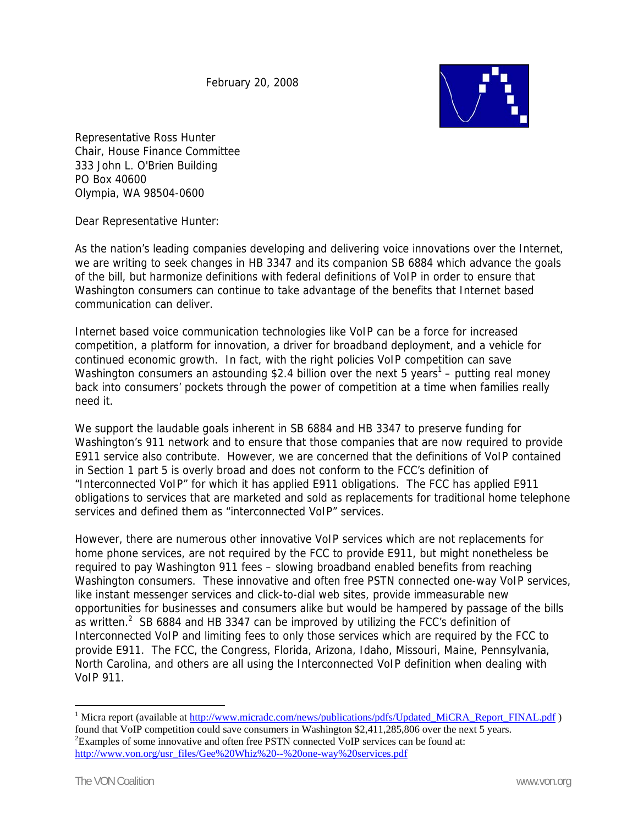February 20, 2008



Representative Ross Hunter Chair, House Finance Committee 333 John L. O'Brien Building PO Box 40600 Olympia, WA 98504-0600

Dear Representative Hunter:

As the nation's leading companies developing and delivering voice innovations over the Internet, we are writing to seek changes in HB 3347 and its companion SB 6884 which advance the goals of the bill, but harmonize definitions with federal definitions of VoIP in order to ensure that Washington consumers can continue to take advantage of the benefits that Internet based communication can deliver.

Internet based voice communication technologies like VoIP can be a force for increased competition, a platform for innovation, a driver for broadband deployment, and a vehicle for continued economic growth. In fact, with the right policies VoIP competition can save Washington consumers an astounding \$2.4 billion over the next 5 years<sup>1</sup> – putting real money back into consumers' pockets through the power of competition at a time when families really need it.

We support the laudable goals inherent in SB 6884 and HB 3347 to preserve funding for Washington's 911 network and to ensure that those companies that are now required to provide E911 service also contribute. However, we are concerned that the definitions of VoIP contained in Section 1 part 5 is overly broad and does not conform to the FCC's definition of "Interconnected VoIP" for which it has applied E911 obligations. The FCC has applied E911 obligations to services that are marketed and sold as replacements for traditional home telephone services and defined them as "interconnected VoIP" services.

However, there are numerous other innovative VoIP services which are not replacements for home phone services, are not required by the FCC to provide E911, but might nonetheless be required to pay Washington 911 fees – slowing broadband enabled benefits from reaching Washington consumers. These innovative and often free PSTN connected one-way VoIP services, like instant messenger services and click-to-dial web sites, provide immeasurable new opportunities for businesses and consumers alike but would be hampered by passage of the bills as written.<sup>2</sup> SB 6884 and HB 3347 can be improved by utilizing the FCC's definition of Interconnected VoIP and limiting fees to only those services which are required by the FCC to provide E911. The FCC, the Congress, Florida, Arizona, Idaho, Missouri, Maine, Pennsylvania, North Carolina, and others are all using the Interconnected VoIP definition when dealing with VoIP 911.

 $\overline{a}$ 

<sup>&</sup>lt;sup>1</sup> Micra report (available at http://www.micradc.com/news/publications/pdfs/Updated\_MiCRA\_Report\_FINAL.pdf ) found that VoIP competition could save consumers in Washington \$2,411,285,806 over the next 5 years. 2  ${}^{2}$ Examples of some innovative and often free PSTN connected VoIP services can be found at: http://www.von.org/usr\_files/Gee%20Whiz%20--%20one-way%20services.pdf